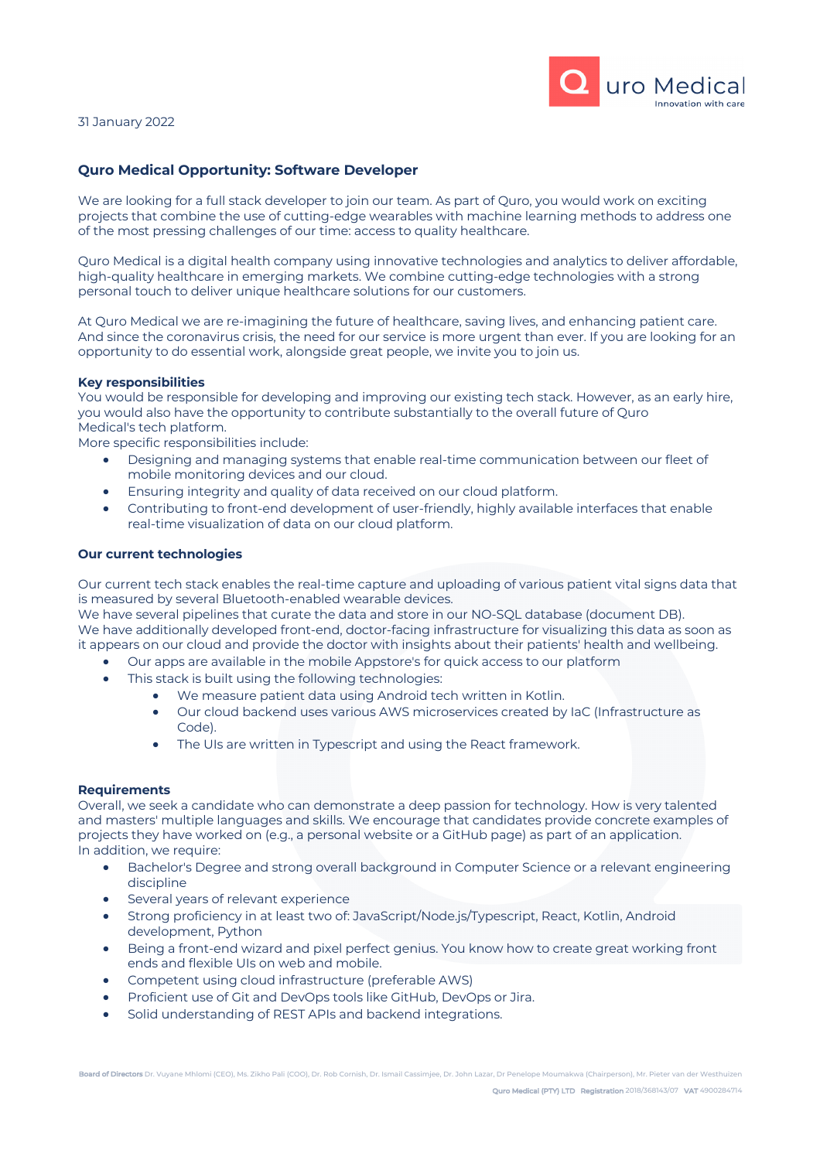

## 31 January 2022

## **Quro Medical Opportunity: Software Developer**

We are looking for a full stack developer to join our team. As part of Quro, you would work on exciting projects that combine the use of cutting-edge wearables with machine learning methods to address one of the most pressing challenges of our time: access to quality healthcare.

Quro Medical is a digital health company using innovative technologies and analytics to deliver affordable, high-quality healthcare in emerging markets. We combine cutting-edge technologies with a strong personal touch to deliver unique healthcare solutions for our customers.

At Quro Medical we are re-imagining the future of healthcare, saving lives, and enhancing patient care. And since the coronavirus crisis, the need for our service is more urgent than ever. If you are looking for an opportunity to do essential work, alongside great people, we invite you to join us.

#### **Key responsibilities**

You would be responsible for developing and improving our existing tech stack. However, as an early hire, you would also have the opportunity to contribute substantially to the overall future of Quro Medical's tech platform.

More specific responsibilities include:

- Designing and managing systems that enable real-time communication between our fleet of mobile monitoring devices and our cloud.
- Ensuring integrity and quality of data received on our cloud platform.
- Contributing to front-end development of user-friendly, highly available interfaces that enable real-time visualization of data on our cloud platform.

### **Our current technologies**

Our current tech stack enables the real-time capture and uploading of various patient vital signs data that is measured by several Bluetooth-enabled wearable devices.

We have several pipelines that curate the data and store in our NO-SQL database (document DB). We have additionally developed front-end, doctor-facing infrastructure for visualizing this data as soon as it appears on our cloud and provide the doctor with insights about their patients' health and wellbeing.

- Our apps are available in the mobile Appstore's for quick access to our platform
- This stack is built using the following technologies:
	- We measure patient data using Android tech written in Kotlin.
	- Our cloud backend uses various AWS microservices created by IaC (Infrastructure as Code).
	- The UIs are written in Typescript and using the React framework.

#### **Requirements**

Overall, we seek a candidate who can demonstrate a deep passion for technology. How is very talented and masters' multiple languages and skills. We encourage that candidates provide concrete examples of projects they have worked on (e.g., a personal website or a GitHub page) as part of an application. In addition, we require:

- Bachelor's Degree and strong overall background in Computer Science or a relevant engineering discipline
- Several years of relevant experience
- Strong proficiency in at least two of: JavaScript/Node.js/Typescript, React, Kotlin, Android development, Python
- Being a front-end wizard and pixel perfect genius. You know how to create great working front ends and flexible UIs on web and mobile.
- Competent using cloud infrastructure (preferable AWS)
- Proficient use of Git and DevOps tools like GitHub, DevOps or Jira.
- Solid understanding of REST APIs and backend integrations.